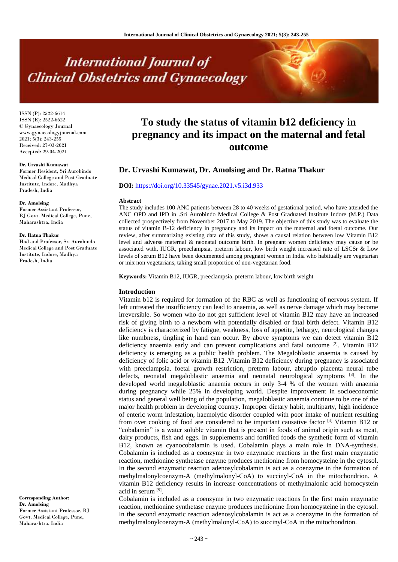# **International Journal of Clinical Obstetrics and Gynaecology**

ISSN (P): 2522-6614 ISSN (E): 2522-6622 © Gynaecology Journal www.gynaecologyjournal.com  $2021; 5(3): 243-255$ Received: 27-03-2021 Accepted: 29-04-2021

#### **Dr. Urvashi Kumawat**

Former Resident, Sri Aurobindo Medical College and Post Graduate Institute, Indore, Madhya Pradesh, India

#### **Dr. Amolsing**

Former Assistant Professor, BJ Govt. Medical College, Pune, Maharashtra, India

#### **Dr. Ratna Thakur**

Hod and Professor, Sri Aurobindo Medical College and Post Graduate Institute, Indore, Madhya Pradesh, India

**Corresponding Author: Dr. Amolsing** Former Assistant Professor, BJ Govt. Medical College, Pune, Maharashtra, India

# **To study the status of vitamin b12 deficiency in pregnancy and its impact on the maternal and fetal outcome**

# **Dr. Urvashi Kumawat, Dr. Amolsing and Dr. Ratna Thakur**

### **DOI:** <https://doi.org/10.33545/gynae.2021.v5.i3d.933>

#### **Abstract**

The study includes 100 ANC patients between 28 to 40 weeks of gestational period, who have attended the ANC OPD and IPD in .Sri Aurobindo Medical College & Post Graduated Institute Indore (M.P.) Data collected prospectively from November 2017 to May 2019. The objective of this study was to evaluate the status of vitamin B-12 deficiency in pregnancy and its impact on the maternal and foetal outcome. Our review, after summarizing existing data of this study, shows a causal relation between low Vitamin B12 level and adverse maternal & neonatal outcome birth. In pregnant women deficiency may cause or be associated with, IUGR, preeclampsia, preterm labour, low birth weight increased rate of LSCSr & Low levels of serum B12 have been documented among pregnant women in India who habitually are vegetarian or mix non vegetarians, taking small proportion of non-vegetarian food.

**Keywords:** Vitamin B12, IUGR, preeclampsia, preterm labour, low birth weight

#### **Introduction**

Vitamin b12 is required for formation of the RBC as well as functioning of nervous system. If left untreated the insufficiency can lead to anaemia, as well as nerve damage which may become irreversible. So women who do not get sufficient level of vitamin B12 may have an increased risk of giving birth to a newborn with potentially disabled or fatal birth defect. Vitamin B12 deficiency is characterized by fatigue, weakness, loss of appetite, lethargy, neurological changes like numbness, tingling in hand can occur. By above symptoms we can detect vitamin B12 deficiency anaemia early and can prevent complications and fatal outcome <sup>[2]</sup>. Vitamin B12 deficiency is emerging as a public health problem. The Megaloblastic anaemia is caused by deficiency of folic acid or vitamin B12 .Vitamin B12 deficiency during pregnancy is associated with preeclampsia, foetal growth restriction, preterm labour, abruptio placenta neural tube defects, neonatal megaloblastic anaemia and neonatal neurological symptoms <sup>[3]</sup>. In the developed world megaloblastic anaemia occurs in only 3-4 % of the women with anaemia during pregnancy while 25% in developing world. Despite improvement in socioeconomic status and general well being of the population, megaloblastic anaemia continue to be one of the major health problem in developing country. Improper dietary habit, multiparty, high incidence of enteric worm infestation, haemolytic disorder coupled with poor intake of nutrient resulting from over cooking of food are considered to be important causative factor  $[4]$  Vitamin B12 or "cobalamin" is a water soluble vitamin that is present in foods of animal origin such as meat, dairy products, fish and eggs. In supplements and fortified foods the synthetic form of vitamin B12, known as cyanocobalamin is used. Cobalamin plays a main role in DNA-synthesis. Cobalamin is included as a coenzyme in two enzymatic reactions in the first main enzymatic reaction, methionine synthetase enzyme produces methionine from homocysteine in the cytosol. In the second enzymatic reaction adenosylcobalamin is act as a coenzyme in the formation of methylmalonylcoenzym-A (methylmalonyl-CoA) to succinyl-CoA in the mitochondrion. A vitamin B12 deficiency results in increase concentrations of methylmalonic acid homocystein acid in serum [9] .

Cobalamin is included as a coenzyme in two enzymatic reactions In the first main enzymatic reaction, methionine synthetase enzyme produces methionine from homocysteine in the cytosol. In the second enzymatic reaction adenosylcobalamin is act as a coenzyme in the formation of methylmalonylcoenzym-A (methylmalonyl-CoA) to succinyl-CoA in the mitochondrion.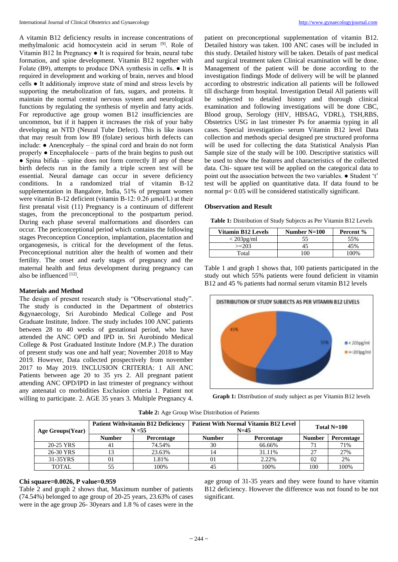A vitamin B12 deficiency results in increase concentrations of methylmalonic acid homocystein acid in serum [9]. Role of Vitamin B12 In Pregnancy ● It is required for brain, neural tube formation, and spine development. Vitamin B12 together with Folate (B9), attempts to produce DNA synthesis in cells. ● It is required in development and working of brain, nerves and blood cells ● It additionaly improve state of mind and stress levels by supporting the metabolization of fats, sugars, and proteins. It maintain the normal central nervous system and neurological functions by regulating the synthesis of myelin and fatty acids. For reproductive age group women B12 insufficiencies are uncommon, but if it happen it increases the risk of your baby developing an NTD (Neural Tube Defect). This is like issues that may result from low B9 (folate) serious birth defects can include: ● Anencephaly – the spinal cord and brain do not form properly ● Encephalocele – parts of the brain begins to push out  $\bullet$  Spina bifida – spine does not form correctly If any of these birth defects run in the family a triple screen test will be essential. Neural damage can occur in severe deficiency conditions. In a randomized trial of vitamin B-12 supplementation in Bangalore, India, 51% of pregnant women were vitamin B-12 deficient (vitamin B-12: 0.26 μmol/L) at their first prenatal visit (11) Pregnancy is a continuum of different stages, from the preconceptional to the postpartum period. During each phase several malformations and disorders can occur. The periconceptional period which contains the following stages Preconception Conception, implantation, placentation and organogenesis, is critical for the development of the fetus. Preconceptional nutrition alter the health of women and their fertility. The onset and early stages of pregnancy and the maternal health and fetus development during pregnancy can also be influenced [12].

# **Materials and Method**

The design of present research study is "Observational study". The study is conducted in the Department of obstetrics &gynaecology, Sri Aurobindo Medical College and Post Graduate Institute, Indore. The study includes 100 ANC patients between 28 to 40 weeks of gestational period, who have attended the ANC OPD and IPD in. Sri Aurobindo Medical College & Post Graduated Institute Indore (M.P.) The duration of present study was one and half year; November 2018 to May 2019. However, Data collected prospectively from november 2017 to May 2019. INCLUSION CRITERIA: 1 All ANC Patients between age 20 to 35 yrs 2. All pregnant patient attending ANC OPD/IPD in last trimester of pregnancy without any antenatal co morbidities Exclusion criteria 1. Patient not willing to participate. 2. AGE 35 years 3. Multiple Pregnancy 4.

patient on preconceptional supplementation of vitamin B12. Detailed history was taken. 100 ANC cases will be included in this study. Detailed history will be taken. Details of past medical and surgical treatment taken Clinical examination will be done. Management of the patient will be done according to the investigation findings Mode of delivery will be will be planned according to obstrestric indication all patients will be followed till discharge from hospital. Investigation Detail All patients will be subjected to detailed history and thorough clinical examination and following investigations will be done CBC, Blood group, Serology (HIV, HBSAG, VDRL), TSH,RBS, Obstetrics USG in last trimester Ps for anaemia typing in all cases. Special investigation- serum Vitamin B12 level Data collection and methods special designed pre structured proforma will be used for collecting the data Statistical Analysis Plan Sample size of the study will be 100. Descriptive statistics will be used to show the features and characteristics of the collected data. Chi- square test will be applied on the categorical data to point out the association between the two variables. ● Student 't' test will be applied on quantitative data. If data found to be normal p< 0.05 will be considered statistically significant.

#### **Observation and Result**

**Table 1:** Distribution of Study Subjects as Per Vitamin B12 Levels

| <b>Vitamin B12 Levels</b> | Number $N=100$ | Percent % |
|---------------------------|----------------|-----------|
| $<$ 203pg/ml              |                | 55%       |
| $>=203$                   |                | 15%       |
| Total                     | ΩO             | 100%      |

Table 1 and graph 1 shows that, 100 patients participated in the study out which 55% patients were found deficient in vitamin B12 and 45 % patients had normal serum vitamin B12 levels



Graph 1: Distribution of study subject as per Vitamin B12 levels

| Age Groups(Year) | <b>Patient Withvitamin B12 Deficiency</b><br>$N = 55$ |            | <b>Patient With Normal Vitamin B12 Level</b><br>$N=45$ |            | Total $N=100$ |            |
|------------------|-------------------------------------------------------|------------|--------------------------------------------------------|------------|---------------|------------|
|                  | Number                                                | Percentage | <b>Number</b>                                          | Percentage | <b>Number</b> | Percentage |
| 20-25 YRS        |                                                       | 74.54%     | 30                                                     | 66.66%     |               | 71%        |
| 26-30 YRS        |                                                       | 23.63%     | 14                                                     | 31.11%     | 27            | 27%        |
| 31-35YRS         | 01                                                    | 1.81%      | $_{01}$                                                | 2.22%      | 02            | 2%         |
| <b>TOTAL</b>     |                                                       | 100%       | 45                                                     | 100%       | 100           | 100%       |

**Table 2:** Age Group Wise Distribution of Patients

### **Chi square=0.0026, P value=0.959**

Table 2 and graph 2 shows that, Maximum number of patients (74.54%) belonged to age group of 20-25 years, 23.63% of cases were in the age group 26- 30years and 1.8 % of cases were in the

age group of 31-35 years and they were found to have vitamin B12 deficiency. However the difference was not found to be not significant.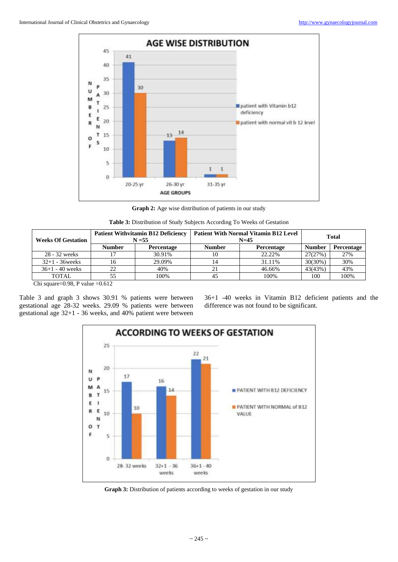

**Graph 2:** Age wise distribution of patients in our study

| <b>Table 3:</b> Distribution of Study Subjects According To Weeks of Gestation |  |  |
|--------------------------------------------------------------------------------|--|--|
|--------------------------------------------------------------------------------|--|--|

| <b>Weeks Of Gestation</b> | <b>Patient Withvitamin B12 Deficiency</b><br>$N = 55$ |            | <b>Patient With Normal Vitamin B12 Level</b><br>$N=45$ | <b>Total</b>      |               |            |
|---------------------------|-------------------------------------------------------|------------|--------------------------------------------------------|-------------------|---------------|------------|
|                           | <b>Number</b>                                         | Percentage | <b>Number</b>                                          | <b>Percentage</b> | <b>Number</b> | Percentage |
| 28 - 32 weeks             | 17                                                    | 30.91%     |                                                        | 22.22%            | 27(27%)       | 27%        |
| $32+1 - 36$ weeks         | 16                                                    | 29.09%     |                                                        | 31.11%            | $30(30\%)$    | 30%        |
| $36+1 - 40$ weeks         | 22                                                    | 40%        |                                                        | 46.66%            | 43(43%)       | 43%        |
| <b>TOTAL</b>              | 55                                                    | 100%       | 45                                                     | 100%              | 100           | 100%       |

Chi square=0.98, P value =0.612

Table 3 and graph 3 shows 30.91 % patients were between gestational age 28-32 weeks. 29.09 % patients were between gestational age 32+1 - 36 weeks, and 40% patient were between 36+1 -40 weeks in Vitamin B12 deficient patients and the difference was not found to be significant.



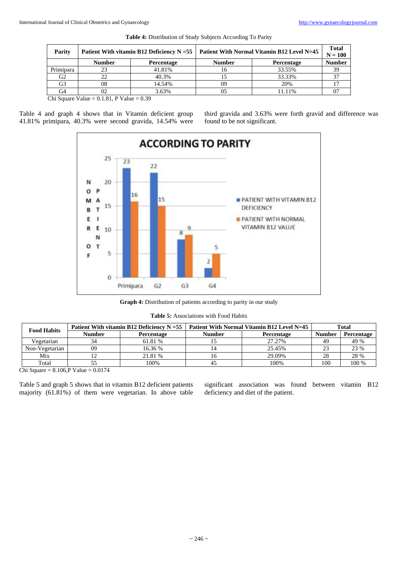| Parity    |               | Patient With vitamin B12 Deficiency $N = 55$ | Patient With Normal Vitamin B12 Level N=45 | <b>Total</b><br>$N = 100$ |               |
|-----------|---------------|----------------------------------------------|--------------------------------------------|---------------------------|---------------|
|           | <b>Number</b> | Percentage                                   | <b>Number</b>                              | Percentage                | <b>Number</b> |
| Primipara |               | 41.81%                                       |                                            | 33.55%                    | 39            |
| G2        | フフ            | 40.3%                                        |                                            | 33.33%                    |               |
| G3        | 08            | 14.54%                                       | 09                                         | 20%                       |               |
| G4        |               | 3.63%                                        |                                            | 11.11%                    |               |

**Table 4:** Distribution of Study Subjects According To Parity

Chi Square Value =  $0.1.81$ , P Value =  $0.39$ 

Table 4 and graph 4 shows that in Vitamin deficient group 41.81% primipara, 40.3% were second gravida, 14.54% were third gravida and 3.63% were forth gravid and difference was found to be not significant.





|  |  | <b>Table 5:</b> Associations with Food Habits |
|--|--|-----------------------------------------------|
|--|--|-----------------------------------------------|

| <b>Food Habits</b> | Patient With vitamin B12 Deficiency $N = 55$ |            | Patient With Normal Vitamin B12 Level N=45 | Total             |               |                   |
|--------------------|----------------------------------------------|------------|--------------------------------------------|-------------------|---------------|-------------------|
|                    | <b>Number</b>                                | Percentage | <b>Number</b>                              | <b>Percentage</b> | <b>Number</b> | <b>Percentage</b> |
| Vegetarian         |                                              | 61.81 %    |                                            | 27.27%            | 49            | 49 %              |
| Non-Vegetarian     | 09                                           | 16.36 %    |                                            | 25.45%            | 23            | 23 %              |
| Mix                |                                              | 21.81 %    |                                            | 29.09%            | 28            | 28 %              |
| Total              |                                              | 100%       | 4.                                         | 100%              | 100           | 100 %             |

Chi Square =  $8.106$ , P Value =  $0.0174$ 

Table 5 and graph 5 shows that in vitamin B12 deficient patients majority (61.81%) of them were vegetarian. In above table significant association was found between vitamin B12 deficiency and diet of the patient.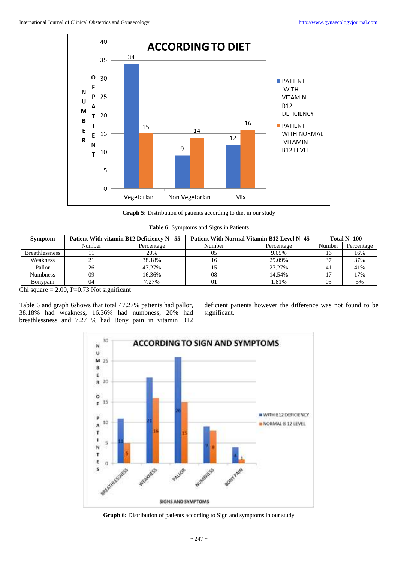

**Graph 5:** Distribution of patients according to diet in our study

| Table 6: Symptoms and Signs in Patients |  |  |
|-----------------------------------------|--|--|
|                                         |  |  |

| <b>Symptom</b>        | Patient With vitamin B12 Deficiency $N = 55$ |            | Patient With Normal Vitamin B12 Level N=45 | Total $N=100$ |        |            |
|-----------------------|----------------------------------------------|------------|--------------------------------------------|---------------|--------|------------|
|                       | Number                                       | Percentage | Number                                     | Percentage    | Number | Percentage |
| <b>Breathlessness</b> |                                              | 20%        | 05                                         | 9.09%         | 16     | 16%        |
| Weakness              |                                              | 38.18%     |                                            | 29.09%        | 27     | 37%        |
| Pallor                | 26                                           | 47.27%     |                                            | 27.27%        | 4ì     | 41%        |
| <b>Numbness</b>       | 09                                           | 16.36%     | 08                                         | 14.54%        |        | 17%        |
| <b>B</b> onypain      | 04                                           | 7.27%      | 01                                         | 1.81%         | 05     | 5%         |

Chi square  $= 2.00$ , P=0.73 Not significant

Table 6 and graph 6shows that total 47.27% patients had pallor, 38.18% had weakness, 16.36% had numbness, 20% had breathlessness and 7.27 % had Bony pain in vitamin B12 deficient patients however the difference was not found to be significant.



Graph 6: Distribution of patients according to Sign and symptoms in our study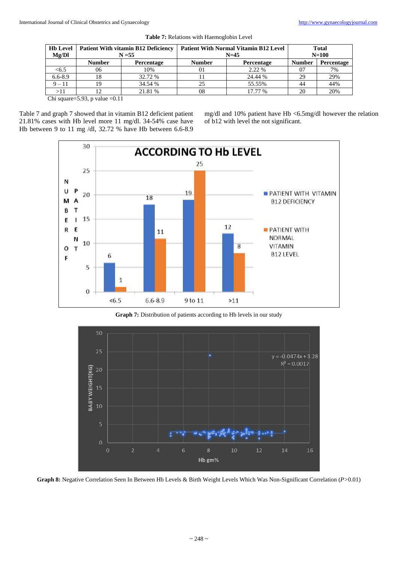| Mg/Dl         | Hb Level   Patient With vitamin B12 Deficiency<br>$N = 55$ |                   | <b>Patient With Normal Vitamin B12 Level</b><br>$N=45$ | <b>Total</b><br>$N=100$ |                |            |
|---------------|------------------------------------------------------------|-------------------|--------------------------------------------------------|-------------------------|----------------|------------|
|               | <b>Number</b>                                              | <b>Percentage</b> | <b>Number</b>                                          | Percentage              | <b>Number</b>  | Percentage |
| <6.5          | 06                                                         | 10%               | 01                                                     | 2.22 %                  | 0 <sup>7</sup> | 7%         |
| $6.6 - 8.9$   |                                                            | 32.72 %           |                                                        | 24.44 %                 | 29             | 29%        |
| $9 - 11$      |                                                            | 34.54 %           | 25                                                     | 55.55%                  | 44             | 44%        |
| >11           |                                                            | 21.81 %           | 08                                                     | 17.77 %                 | 20             | 20%        |
| $\sim$ $\sim$ | $\sim$ 00<br>$^{\circ}$ 1 1                                |                   |                                                        |                         |                |            |

|  | Table 7: Relations with Haemoglobin Level |  |  |  |  |
|--|-------------------------------------------|--|--|--|--|
|--|-------------------------------------------|--|--|--|--|

Chi square=5.93, p value = $0.11$ 

Table 7 and graph 7 showed that in vitamin B12 deficient patient 21.81% cases with Hb level more 11 mg/dl. 34-54% case have Hb between 9 to 11 mg /dl, 32.72 % have Hb between 6.6-8.9 mg/dl and 10% patient have Hb <6.5mg/dl however the relation of b12 with level the not significant.



**Graph 7:** Distribution of patients according to Hb levels in our study



**Graph 8:** Negative Correlation Seen In Between Hb Levels & Birth Weight Levels Which Was Non-Significant Correlation (*P>*0.01)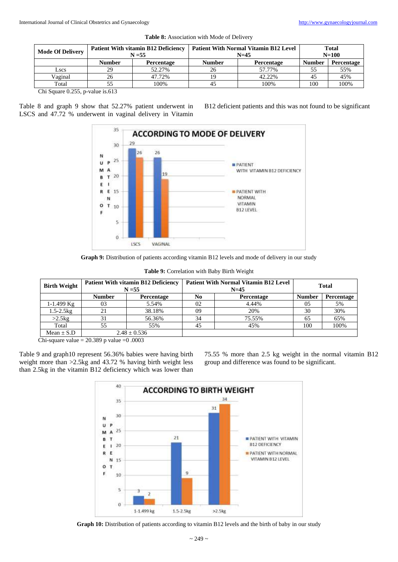| <b>Mode Of Delivery</b> | <b>Patient With vitamin B12 Deficiency</b><br>$N = 55$ |            | <b>Patient With Normal Vitamin B12 Level</b><br>$N=45$ | <b>Total</b><br>$N = 100$ |               |            |  |  |
|-------------------------|--------------------------------------------------------|------------|--------------------------------------------------------|---------------------------|---------------|------------|--|--|
|                         | <b>Number</b>                                          | Percentage | <b>Number</b>                                          | Percentage                | <b>Number</b> | Percentage |  |  |
| Lscs                    | 29                                                     | 52.27%     | 26                                                     | 57.77%                    | 55            | 55%        |  |  |
| Vaginal                 |                                                        | 47.72%     | 19                                                     | 42.22%                    | 45            | 45%        |  |  |
| Total                   |                                                        | 100%       | 45                                                     | 100%                      | 100           | 100%       |  |  |
| 0.255<br>$\sim$ $\sim$  | 210                                                    |            |                                                        |                           |               |            |  |  |

**Table 8:** Association with Mode of Delivery

Chi Square 0.255, p-value is.613

Table 8 and graph 9 show that 52.27% patient underwent in LSCS and 47.72 % underwent in vaginal delivery in Vitamin B12 deficient patients and this was not found to be significant



**Graph 9:** Distribution of patients according vitamin B12 levels and mode of delivery in our study

| <b>Birth Weight</b> | <b>Patient With vitamin B12 Deficiency</b><br>$N = 55$ |                  |                  | <b>Patient With Normal Vitamin B12 Level</b><br>$N=45$ | <b>Total</b>  |            |
|---------------------|--------------------------------------------------------|------------------|------------------|--------------------------------------------------------|---------------|------------|
|                     | <b>Number</b>                                          | Percentage       | N0<br>Percentage |                                                        | <b>Number</b> | Percentage |
| $1-1.499$ Kg        | 03                                                     | 5.54%            | 02               | 4.44%                                                  | 05            | 5%         |
| $1.5 - 2.5$ kg      | 21                                                     | 38.18%           | 09               | 20%                                                    | 30            | 30%        |
| $>2.5$ kg           | 31                                                     | 56.36%           | 34               | 75.55%                                                 | 65            | 65%        |
| Total               | 55                                                     | 55%              | 45               | 45%                                                    | 100           | 100%       |
| Mean $\pm$ S.D      |                                                        | $2.48 \pm 0.536$ |                  |                                                        |               |            |

**Table 9:** Correlation with Baby Birth Weight

Chi-square value =  $20.389$  p value = 0.0003

Table 9 and graph10 represent 56.36% babies were having birth weight more than >2.5kg and 43.72 % having birth weight less than 2.5kg in the vitamin B12 deficiency which was lower than 75.55 % more than 2.5 kg weight in the normal vitamin B12 group and difference was found to be significant.



Graph 10: Distribution of patients according to vitamin B12 levels and the birth of baby in our study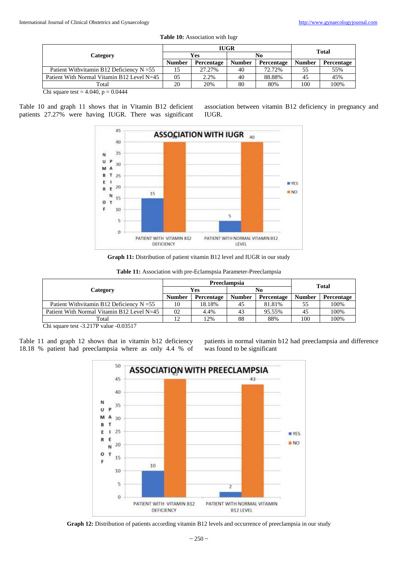| <b>Table 10:</b> Association with Jugr |
|----------------------------------------|
| <b>THAD</b>                            |

|                                             |               | <b>IUGR</b>       | <b>Total</b>  |            |               |            |
|---------------------------------------------|---------------|-------------------|---------------|------------|---------------|------------|
| Category                                    | Yes           |                   |               |            | No            |            |
|                                             | <b>Number</b> | <b>Percentage</b> | <b>Number</b> | Percentage | <b>Number</b> | Percentage |
| Patient Withvitamin B12 Deficiency $N = 55$ |               | 27.27%            | 40            | 72.72%     | 55            | 55%        |
| Patient With Normal Vitamin B12 Level N=45  | 05            | 2.2%              | 40            | 88.88%     | 45            | 45%        |
| Total                                       | 20            | 20%               | 80            | 80%        | 100           | 100%       |

Chi square test =  $4.040$ , p =  $0.0444$ 

Table 10 and graph 11 shows that in Vitamin B12 deficient patients 27.27% were having IUGR. There was significant association between vitamin B12 deficiency in pregnancy and IUGR.



**Graph 11:** Distribution of patient vitamin B12 level and IUGR in our study

|                                                                |               | Preeclampsia | Total         |            |               |            |
|----------------------------------------------------------------|---------------|--------------|---------------|------------|---------------|------------|
| Category                                                       | Yes           |              |               |            | No            |            |
|                                                                | <b>Number</b> | Percentage   | <b>Number</b> | Percentage | <b>Number</b> | Percentage |
| Patient Withvitamin B12 Deficiency $N = 55$                    | 10            | 18.18%       | 45            | 81.81%     | 55            | 100%       |
| Patient With Normal Vitamin B12 Level N=45                     | 02            | 4.4%         | 43            | 95.55%     | 45            | 100%       |
| Total                                                          | 12            | 2%           | 88            | 88%        | 100           | 100%       |
| $\sim$ $\sim$<br>0.02517<br>$\sim$ $\sim$ $\sim$ $\sim$ $\sim$ |               |              |               |            |               |            |

**Table 11:** Association with pre-Eclamspsia Parameter-Preeclampsia

Chi square test -3.217P value -0.03517

Table 11 and graph 12 shows that in vitamin b12 deficiency 18.18 % patient had preeclampsia where as only 4.4 % of patients in normal vitamin b12 had preeclampsia and difference was found to be significant



Graph 12: Distribution of patients according vitamin B12 levels and occurrence of preeclampsia in our study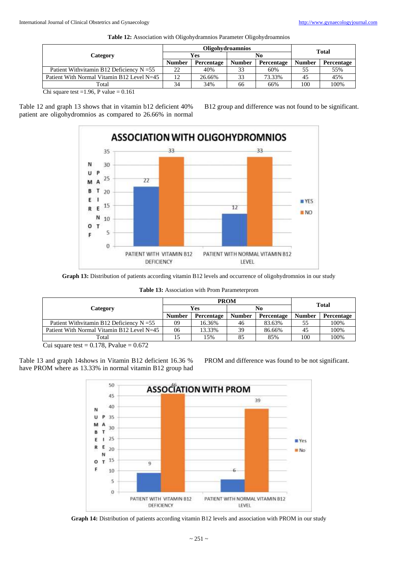|                                             |               | <b>Oligohydroamnios</b> | <b>Total</b>  |            |               |            |
|---------------------------------------------|---------------|-------------------------|---------------|------------|---------------|------------|
| Category                                    | Yes           |                         |               |            | No            |            |
|                                             | <b>Number</b> | Percentage              | <b>Number</b> | Percentage | <b>Number</b> | Percentage |
| Patient Withvitamin B12 Deficiency $N = 55$ | 22            | 40%                     | 33            | 60%        |               | 55%        |
| Patient With Normal Vitamin B12 Level N=45  | 12            | 26.66%                  | 33            | 73.33%     | 45            | 45%        |
| Total                                       | 34            | 34%                     | 66            | 66%        | 100           | 100%       |

**Table 12:** Association with Oligohydramnios Parameter Oligohydroamnios

Chi square test =1.96, P value =  $0.161$ 

Table 12 and graph 13 shows that in vitamin b12 deficient 40% patient are oligohydromnios as compared to 26.66% in normal B12 group and difference was not found to be significant.



Graph 13: Distribution of patients according vitamin B12 levels and occurrence of oligohydromnios in our study

|  |  |  | Table 13: Association with Prom Parameterprom |
|--|--|--|-----------------------------------------------|
|--|--|--|-----------------------------------------------|

|                                             |               | <b>PROM</b>       | <b>Total</b>  |                   |               |            |
|---------------------------------------------|---------------|-------------------|---------------|-------------------|---------------|------------|
| Category                                    | Yes           |                   |               |                   | No            |            |
|                                             | <b>Number</b> | <b>Percentage</b> | <b>Number</b> | <b>Percentage</b> | <b>Number</b> | Percentage |
| Patient Withvitamin B12 Deficiency $N = 55$ | 09            | 16.36%            | 46            | 83.63%            | 55            | 100%       |
| Patient With Normal Vitamin B12 Level N=45  | 06            | 13.33%            | 39            | 86.66%            | 45            | 100%       |
| Total                                       |               | 15%               | 85            | 85%               | 100           | 100%       |

Cui square test =  $0.178$ , Pvalue =  $0.672$ 

Table 13 and graph 14shows in Vitamin B12 deficient 16.36 % have PROM where as 13.33% in normal vitamin B12 group had PROM and difference was found to be not significant.



**Graph 14:** Distribution of patients according vitamin B12 levels and association with PROM in our study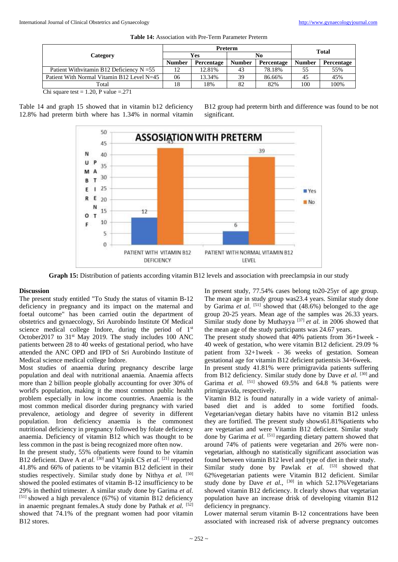|                                             |               | <b>Preterm</b>    | <b>Total</b>  |                   |               |                   |
|---------------------------------------------|---------------|-------------------|---------------|-------------------|---------------|-------------------|
| Category                                    | Yes           |                   |               |                   | No            |                   |
|                                             | <b>Number</b> | <b>Percentage</b> | <b>Number</b> | <b>Percentage</b> | <b>Number</b> | <b>Percentage</b> |
| Patient Withvitamin B12 Deficiency $N = 55$ | 12            | 12.81%            | 43            | 78.18%            | 55            | 55%               |
| Patient With Normal Vitamin B12 Level N=45  | 06            | 13.34%            | 39            | 86.66%            | 45            | 45%               |
| Total                                       | 18            | 18%               | 82            | 82%               | 100           | 100%              |

Chi square test =  $1.20$ , P value =  $.271$ 

Table 14 and graph 15 showed that in vitamin b12 deficiency 12.8% had preterm birth where has 1.34% in normal vitamin B12 group had preterm birth and difference was found to be not significant.



**Graph 15:** Distribution of patients according vitamin B12 levels and association with preeclampsia in our study

#### **Discussion**

The present study entitled "To Study the status of vitamin B-12 deficiency in pregnancy and its impact on the maternal and foetal outcome" has been carried outin the department of obstetrics and gynaecology, Sri Aurobindo Institute Of Medical science medical college Indore, during the period of  $1<sup>st</sup>$ October2017 to 31<sup>st</sup> May 2019. The study includes 100 ANC patients between 28 to 40 weeks of gestational period, who have attended the ANC OPD and IPD of Sri Aurobindo Institute of Medical science medical college Indore.

Most studies of anaemia during pregnancy describe large population and deal with nutritional anaemia. Anaemia affects more than 2 billion people globally accounting for over 30% of world's population, making it the most common public health problem especially in low income countries. Anaemia is the most common medical disorder during pregnancy with varied prevalence, aetiology and degree of severity in different population. Iron deficiency anaemia is the commonest nutritional deficiency in pregnancy followed by folate deficiency anaemia. Deficiency of vitamin B12 which was thought to be less common in the past is being recognized more often now.

In the present study, 55% ofpatients were found to be vitamin B12 deficient. Dave A *et al.* [30] and Yajnik CS *et al.* [21] reported 41.8% and 66% of patients to be vitamin B12 deficient in their studies respectively. Similar study done by Nithya et al. [50] showed the pooled estimates of vitamin B-12 insufficiency to be 29% in thethird trimester. A similar study done by Garima *et al.* [51] showed a high prevalence (67%) of vitamin B12 deficiency in anaemic pregnant females.A study done by Pathak *et al.* [52] showed that 74.1% of the pregnant women had poor vitamin B<sub>12</sub> stores.

In present study, 77.54% cases belong to20-25yr of age group. The mean age in study group was23.4 years. Similar study done by Garima *et al.* <sup>[51]</sup> showed that (48.6%) belonged to the age group 20-25 years. Mean age of the samples was 26.33 years. Similar study done by Muthayya<sup>[37]</sup> et al. in 2006 showed that the mean age of the study participants was 24.67 years.

The present study showed that 40% patients from 36+1week - 40 week of gestation, who were vitamin B12 deficient. 29.09 % patient from 32+1week - 36 weeks of gestation. Somean gestational age for vitamin B12 deficient patientsis 34+6week.

In present study 41.81% were primigravida patients suffering from B12 deficiency. Similar study done by Dave *et al.* [30] and Garima et al. <sup>[51]</sup> showed 69.5% and 64.8 % patients were primigravida, respectively.

Vitamin B12 is found naturally in a wide variety of animalbased diet and is added to some fortified foods. Vegetarian/vegan dietary habits have no vitamin B12 unless they are fortified. The present study shows61.81%patients who are vegetarian and were Vitamin B12 deficient. Similar study done by Garima *et al.* [51] regarding dietary pattern showed that around 74% of patients were vegetarian and 26% were nonvegetarian, although no statistically significant association was found between vitamin B12 level and type of diet in their study.

Similar study done by Pawlak et al. <sup>[53]</sup> showed that 62%vegetarian patients were Vitamin B12 deficient. Similar study done by Dave et al., <sup>[30]</sup> in which 52.17% Vegetarians showed vitamin B12 deficiency. It clearly shows that vegetarian population have an increase drisk of developing vitamin B12 deficiency in pregnancy.

Lower maternal serum vitamin B-12 concentrations have been associated with increased risk of adverse pregnancy outcomes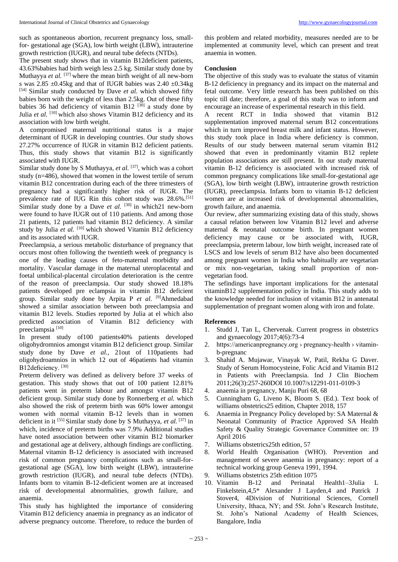such as spontaneous abortion, recurrent pregnancy loss, smallfor- gestational age (SGA), low birth weight (LBW), intrauterine growth restriction (IUGR), and neural tube defects (NTDs).

The present study shows that in vitamin B12deficient patients, 43.63%babies had birth weigh less 2.5 kg. Similar study done by Muthayya et al. <sup>[37]</sup> where the mean birth weight of all new-born s was  $2.85 \pm 0.45$ kg and that of IUGR babies was  $2.40 \pm 0.34$ kg [54] Similar study conducted by Dave et al. which showed fifty babies born with the weight of less than 2.5kg. Out of these fifty babies 36 had deficiency of vitamin B12  $[30]$  a study done by Julia *et al.* <sup>[10]</sup> which also shows Vitamin B12 deficiency and its association with low birth weight.

A compromised maternal nutritional status is a major determinant of IUGR in developing countries. Our study shows 27.27% occurrence of IUGR in vitamin B12 deficient patients. Thus, this study shows that vitamin B12 is significantly associated with IUGR.

Similar study done by S Muthayya, et al. <sup>[37]</sup>, which was a cohort study (n=486), showed that women in the lowest tertile of serum vitamin B12 concentration during each of the three trimesters of pregnancy had a significantly higher risk of IUGR. The prevalence rate of IUG Rin this cohort study was 28.6%.[51] Similar study done by a Dave et al. <sup>[30]</sup> in which21 new-born were found to have IUGR out of 110 patients. And among those 21 patients, 12 patients had vitamin B12 deficiency. A similar study by Julia et al. <sup>[10]</sup> which showed Vitamin B12 deficiency and its associated with IUGR.

Preeclampsia, a serious metabolic disturbance of pregnancy that occurs most often following the twentieth week of pregnancy is one of the leading causes of feto-maternal morbidity and mortality. Vascular damage in the maternal uteroplacental and foetal umbilical-placental circulation deterioration is the centre of the reason of preeclampsia. Our study showed 18.18% patients developed pre eclampsia in vitamin B12 deficient group. Similar study done by Arpita P *et al.* [9]Ahmedabad showed a similar association between both preeclampsia and vitamin B12 levels. Studies reported by Julia at el which also predicted association of Vitamin B12 deficiency with preeclampsia<sup>[10]</sup>

In present study of100 patients40% patients developed oligohydromnios amongst vitamin B12 deficienct group. Similar study done by Dave *et al.*, 21out of 110patients had oligohydroamnios in which 12 out of 46patients had vitamin B12deficiency.<sup>[30]</sup>

Preterm delivery was defined as delivery before 37 weeks of gestation. This study shows that out of 100 patient 12.81% patients went in preterm labour and amongst vitamin B12 deficient group. Similar study done by Ronnerberg *et al.* which also showed the risk of preterm birth was 60% lower amongst women with normal vitamin B-12 levels than in women deficient in it [55] Similar study done by S Muthayya, *et al.* [37] in which, incidence of preterm births was 7.9% Additional studies have noted association between other vitamin B12 biomarker and gestational age at delivery, although findings are conflicting. Maternal vitamin B-12 deficiency is associated with increased risk of common pregnancy complications such as small-forgestational age (SGA), low birth weight (LBW), intrauterine growth restriction (IUGR), and neural tube defects (NTDs). Infants born to vitamin B-12-deficient women are at increased risk of developmental abnormalities, growth failure, and anaemia.

This study has highlighted the importance of considering Vitamin B12 deficiency anaemia in pregnancy as an indicator of adverse pregnancy outcome. Therefore, to reduce the burden of

this problem and related morbidity, measures needed are to be implemented at community level, which can present and treat anaemia in women.

# **Conclusion**

The objective of this study was to evaluate the status of vitamin B-12 deficiency in pregnancy and its impact on the maternal and fetal outcome. Very little research has been published on this topic till date; therefore, a goal of this study was to inform and encourage an increase of experimental research in this field.

A recent RCT in India showed that vitamin B12 supplementation improved maternal serum B12 concentrations which in turn improved breast milk and infant status. However, this study took place in India where deficiency is common. Results of our study between maternal serum vitamin B12 showed that even in predominantly vitamin B12 replete population associations are still present. In our study maternal vitamin B-12 deficiency is associated with increased risk of common pregnancy complications like small-for-gestational age (SGA), low birth weight (LBW), intrauterine growth restriction (IUGR), preeclampsia. Infants born to vitamin B-12 deficient women are at increased risk of developmental abnormalities, growth failure, and anaemia.

Our review, after summarizing existing data of this study, shows a causal relation between low Vitamin B12 level and adverse maternal & neonatal outcome birth. In pregnant women deficiency may cause or be associated with, IUGR, preeclampsia, preterm labour, low birth weight, increased rate of LSCS and low levels of serum B12 have also been documented among pregnant women in India who habitually are vegetarian or mix non-vegetarian, taking small proportion of nonvegetarian food.

The sefindings have important implications for the antenatal vitaminB12 supplementation policy in India. This study adds to the knowledge needed for inclusion of vitamin B12 in antenatal supplementation of pregnant women along with iron and folate.

#### **References**

- 1. Studd J, Tan L, Chervenak. Current progress in obstetrics and gynaecology 2017;4(6):73-4
- 2. https://americanpregnancy.org › pregnancy-health › vitaminb-pregnanc
- 3. Shahid A. Mujawar, Vinayak W, Patil, Rekha G Daver. Study of Serum Homocysteine, Folic Acid and Vitamin B12 in Patients with Preeclampsia. Ind J Clin Biochem 2011;26(3):257-260DOI 10.1007/s12291-011-0109-3
- 4. anaemia in pregnancy, Manju Puri 68, 68
- 5. Cunningham G, Liveno K, Bloom S. (Ed.). Text book of williams obstetrics25 edition, Chapter 2018, 157
- 6. Anaemia in Pregnancy Policy developed by: SA Maternal & Neonatal Community of Practice Approved SA Health Safety & Quality Strategic Governance Committee on: 19 April 2016
- 7. Williams obstetrics25th edition, 57
- 8. World Health Organisation (WHO). Prevention and management of severe anaemia in pregnancy: report of a technical working group Geneva 1991, 1994.
- 9. Williams obstetrics 25th edition 1075<br>10. Vitamin B-12 and Perinatal
- 10. Vitamin B-12 and Perinatal Health1–3Julia L Finkelstein,4,5\* Alexander J Layden,4 and Patrick J Stover4, 4Division of Nutritional Sciences, Cornell University, Ithaca, NY; and 5St. John's Research Institute, St. John's National Academy of Health Sciences, Bangalore, India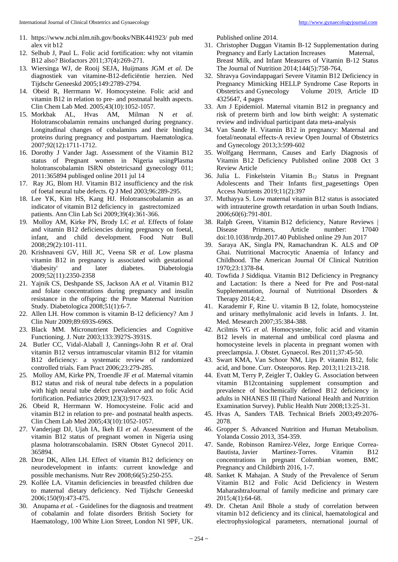- 11. https://www.ncbi.nlm.nih.gov/books/NBK441923/ pub med alex vit b12
- 12. Selhub J, Paul L. Folic acid fortification: why not vitamin B12 also? Biofactors 2011;37(4):269-271.
- 13. Wiersinga WJ, de Rooij SEJA, Huijmans JGM *et al.* De diagnostiek van vitamine-B12-deficiëntie herzien. Ned Tijdschr Geneeskd 2005;149:2789-2794.
- 14. Obeid R, Herrmann W. Homocysteine. Folic acid and vitamin B12 in relation to pre- and postnatal health aspects. Clin Chem Lab Med. 2005;43(10):1052-1057.
- 15. Morkbak AL, Hvas AM, Milman N *et al.* Holotranscobalamin remains unchanged during pregnancy. Longitudinal changes of cobalamins and their binding proteins during pregnancy and postpartum. Haematologica. 2007;92(12):1711-1712.
- 16. Dorothy J Vander Jagt. Assessment of the Vitamin B12 status of Pregnant women in Nigeria usingPlasma holotranscobalamin ISRN obstetricsand gynecology 011; 2011:365894 publisged online 2011 jul 14
- 17. Ray JG, Blom HJ. Vitamin B12 insufficiency and the risk of foetal neural tube defects. Q J Med 2003;96:289-295.
- 18. Lee YK, Kim HS, Kang HJ. Holotranscobalamin as an indicator of vitamin B12 deficiency in gastrectomized patients. Ann Clin Lab Sci 2009;39(4):361-366.
- 19. Molloy AM, Kirke PN, Brody LC *et al.* Effects of folate and vitamin B12 deficiencies during pregnancy on foetal, infant, and child development. Food Nutr Bull 2008;29(2):101-111.
- 20. Krishnaveni GV, Hill JC, Veena SR *et al.* Low plasma vitamin B12 in pregnancy is associated with gestational 'diabesity' and later diabetes. Diabetologia 2009;52(11):2350-2358
- 21. Yajnik CS, Deshpande SS, Jackson AA *et al.* Vitamin B12 and folate concentrations during pregnancy and insulin resistance in the offspring: the Prune Maternal Nutrition Study. Diabetologica 2008;51(1):6-7.
- 22. Allen LH. How common is vitamin B-12 deficiency? Am J Clin Nutr 2009;89:693S-696S.
- 23. Black MM. Micronutrient Deficiencies and Cognitive Functioning. J. Nutr 2003;133:3927S-3931S.
- 24. Butler CC, Vidal-Alaball J, Cannings-John R *et al.* Oral vitamin B12 versus intramuscular vitamin B12 for vitamin B12 deficiency: a systematic review of randomized controlled trials. Fam Pract 2006;23:279-285.
- 25. Molloy AM, Kirke PN, Troendle JF *et al.* Maternal vitamin B12 status and risk of neural tube defects in a population with high neural tube defect prevalence and no folic Acid fortification. Pediatrics 2009;123(3):917-923.
- 26. Obeid R, Herrmann W. Homocysteine. Folic acid and vitamin B12 in relation to pre- and postnatal health aspects. Clin Chem Lab Med 2005;43(10):1052-1057.
- 27. Vanderjagt DJ, Ujah IA, Ikeh EI *et al.* Assessment of the vitamin B12 status of pregnant women in Nigeria using plasma holotranscobalamin. ISRN Obstet Gynecol 2011. 365894.
- 28. Dror DK, Allen LH. Effect of vitamin B12 deficiency on neurodevelopment in infants: current knowledge and possible mechanisms. Nutr Rev 2008;66(5):250-255.
- 29. Kollée LA. Vitamin deficiencies in breastfed children due to maternal dietary deficiency. Ned Tijdschr Geneeskd 2006;150(9):473-475.
- 30. Anupama *et al.* Guidelines for the diagnosis and treatment of cobalamin and folate disorders British Society for Haematology, 100 White Lion Street, London N1 9PF, UK.

Published online 2014.

- 31. Christopher Duggan Vitamin B-12 Supplementation during Pregnancy and Early Lactation Increases Maternal, Breast Milk, and Infant Measures of Vitamin B-12 Status The Journal of Nutrition 2014;144(5):758-764,
- 32. Shravya Govindappagari Severe Vitamin B12 Deficiency in Pregnancy Mimicking HELLP Syndrome Case Reports in Obstetrics and Gynecology Volume 2019, Article ID 4325647, 4 pages
- 33. Am J Epidemiol. Maternal vitamin B12 in pregnancy and risk of preterm birth and low birth weight: A systematic review and individual participant data meta-analysis
- 34. Van Sande H. Vitamin B12 in pregnancy: Maternal and foetal/neonatal effects-A review Open Journal of Obstetrics and Gynecology 2013;3:599-602
- 35. Wolfgang Herrmann, Causes and Early Diagnosis of Vitamin B12 Deficiency Published online 2008 Oct 3 Review Article
- 36. Julia L. Finkelstein Vitamin B<sup>12</sup> Status in Pregnant Adolescents and Their Infants first\_pagesettings Open Access Nutrients 2019;11(2):397
- 37. Muthayya S. Low maternal vitamin B12 status is associated with intrauterine growth retardation in urban South Indians. 2006;60(6):791-801.
- 38. Ralph Green, Vitamin B12 deficiency, Nature Reviews | Disease Primers, Article number: 17040 doi:10.1038/nrdp.2017.40 Published online 29 Jun 2017
- 39. Saraya AK, Singla PN, Ramachandran K. ALS and OP Ghai. Nutritional Macrocytic Anaemia of Infancy and Childhood. The American Journal Of Clinical Nutrition 1970;23:1378-84.
- 40. Towfida J Siddiqua. Vitamin B12 Deficiency in Pregnancy and Lactation: Is there a Need for Pre and Post-natal Supplementation, Journal of Nutritional Disorders & Therapy 2014;4:2.
- 41. Karademir F, Rine U. vitamin B 12, folate, homocysteine and urinary methylmalonic acid levels in Infants. J. Int. Med. Mesearch 2007;35:384-388.
- 42. Acilmis YG *et al.* Homocysteine, folic acid and vitamin B12 levels in maternal and umbilical cord plasma and homocysteine levels in placenta in pregnant women with preeclampsia. J. Obstet. Gynaecol. Res 2011;37:45-50.
- 43. Swart KMA, Van Schoor NM, Lips P. vitamin B12, folic acid, and bone. Curr. Osteoporos. Rep. 2013;11:213-218.
- 44. Evatt M, Terry P, Zeigler T, Oakley G. Association between vitamin B12containing supplement consumption and prevalence of biochemically defined B12 deficiency in adults in NHANES III (Third National Health and Nutrition Examination Survey). Public Health Nutr 2008;13:25-31.
- 45. Hvas A, Sanders TAB. Technical Briefs 2003;49:2076- 2078.
- 46. Gropper S. Advanced Nutrition and Human Metabolism. Yolanda Cossio 2013, 354-359.
- 47. Sande, Robinson Ramírez-Vélez, Jorge Enrique Correa-Bautista, Javier Martínez-Torres. Vitamin B12 concentrations in pregnant Colombian women, BMC Pregnancy and Childbirth 2016, 1-7.
- 48. Sanket K Mahajan. A Study of the Prevalence of Serum Vitamin B12 and Folic Acid Deficiency in Western MaharashtraJournal of family medicine and primary care 2015;4(1):64-68.
- 49. Dr. Chetan Anil Bhole a study of correlation between vitamin b12 deficiency and its clinical, haematological and electrophysiological parameters, nternational journal of